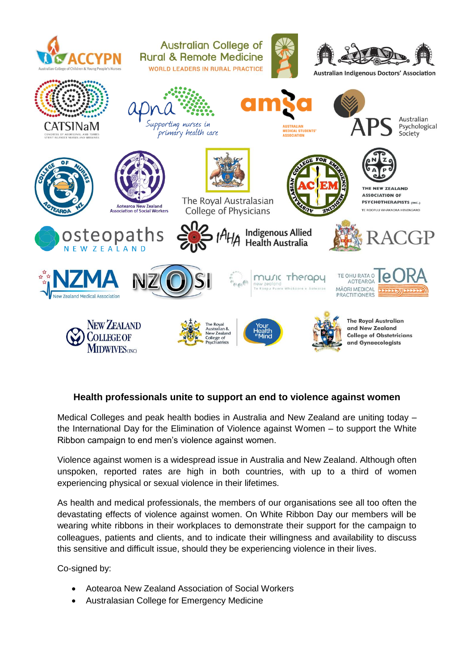

## **Health professionals unite to support an end to violence against women**

Medical Colleges and peak health bodies in Australia and New Zealand are uniting today – the International Day for the Elimination of Violence against Women – to support the White Ribbon campaign to end men's violence against women.

Violence against women is a widespread issue in Australia and New Zealand. Although often unspoken, reported rates are high in both countries, with up to a third of women experiencing physical or sexual violence in their lifetimes.

As health and medical professionals, the members of our organisations see all too often the devastating effects of violence against women. On White Ribbon Day our members will be wearing white ribbons in their workplaces to demonstrate their support for the campaign to colleagues, patients and clients, and to indicate their willingness and availability to discuss this sensitive and difficult issue, should they be experiencing violence in their lives.

Co-signed by:

- Aotearoa New Zealand Association of Social Workers
- Australasian College for Emergency Medicine